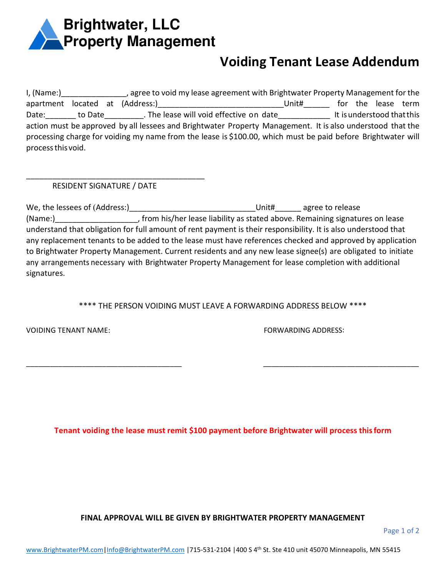

## **Voiding Tenant Lease Addendum**

I, (Name:) agree to void my lease agreement with Brightwater Property Management for the apartment located at (Address:) \_\_\_\_\_\_\_\_\_\_\_\_\_\_\_\_\_\_\_\_\_\_\_\_\_\_\_\_\_\_\_\_\_Unit#\_\_\_\_\_\_\_ for the lease term Date: Late: Late bate to Date and Date in the lease will void effective on date late this understood that this action must be approved by all lessees and Brightwater Property Management. It is also understood that the processing charge for voiding my name from the lease is \$100.00, which must be paid before Brightwater will process this void.

RESIDENT SIGNATURE / DATE

\_\_\_\_\_\_\_\_\_\_\_\_\_\_\_\_\_\_\_\_\_\_\_\_\_\_\_\_\_\_\_\_\_\_\_\_\_\_\_\_\_

We, the lessees of (Address:)\_\_\_\_\_\_\_\_\_\_\_\_\_\_\_\_\_\_\_\_\_\_\_\_\_\_\_\_\_Unit#\_\_\_\_\_\_ agree to release (Name:) (Name:) (Name:) from his/her lease liability as stated above. Remaining signatures on lease understand that obligation for full amount of rent payment is their responsibility. It is also understood that any replacement tenants to be added to the lease must have references checked and approved by application to Brightwater Property Management. Current residents and any new lease signee(s) are obligated to initiate any arrangements necessary with Brightwater Property Management for lease completion with additional signatures.

\*\*\*\* THE PERSON VOIDING MUST LEAVE A FORWARDING ADDRESS BELOW \*\*\*\*

\_\_\_\_\_\_\_\_\_\_\_\_\_\_\_\_\_\_\_\_\_\_\_\_\_\_\_\_\_\_\_\_\_\_\_\_\_\_\_ \_\_\_\_\_\_\_\_\_\_\_\_\_\_\_\_\_\_\_\_\_\_\_\_\_\_\_\_\_\_\_\_\_\_\_\_\_\_\_

VOIDING TENANT NAME: FORWARDING ADDRESS:

**Tenant voiding the lease must remit \$100 payment before Brightwater will process this form**

**FINAL APPROVAL WILL BE GIVEN BY BRIGHTWATER PROPERTY MANAGEMENT**